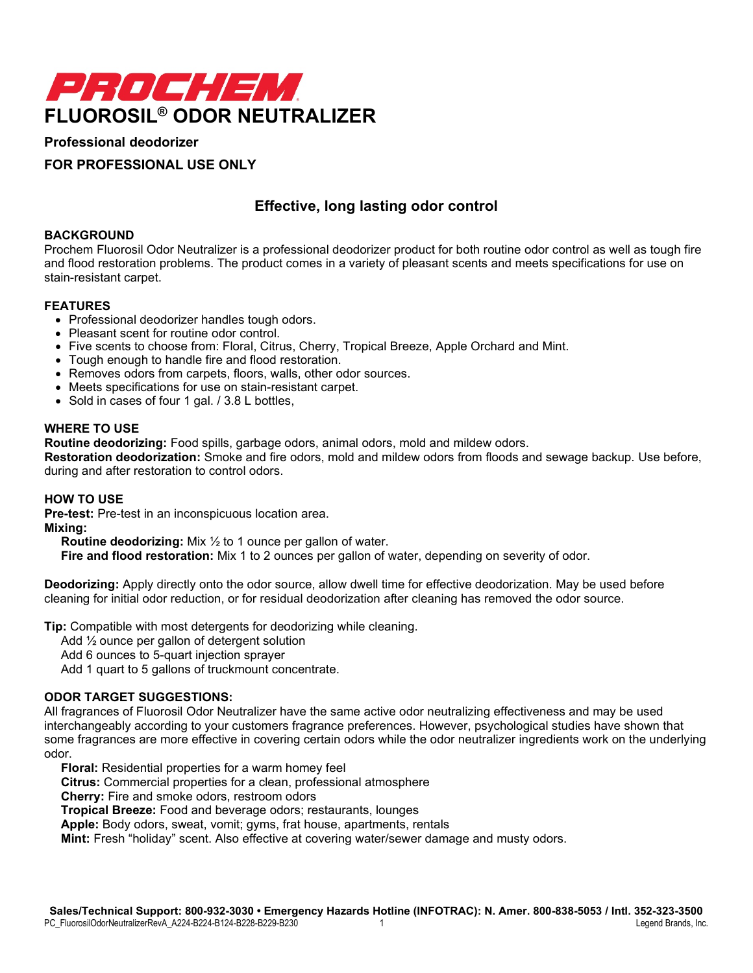

# **Professional deodorizer**

# **FOR PROFESSIONAL USE ONLY**

# **Effective, long lasting odor control**

## **BACKGROUND**

Prochem Fluorosil Odor Neutralizer is a professional deodorizer product for both routine odor control as well as tough fire and flood restoration problems. The product comes in a variety of pleasant scents and meets specifications for use on stain-resistant carpet.

## **FEATURES**

- Professional deodorizer handles tough odors.
- Pleasant scent for routine odor control.
- Five scents to choose from: Floral, Citrus, Cherry, Tropical Breeze, Apple Orchard and Mint.
- Tough enough to handle fire and flood restoration.
- Removes odors from carpets, floors, walls, other odor sources.
- Meets specifications for use on stain-resistant carpet.
- Sold in cases of four 1 gal. / 3.8 L bottles,

## **WHERE TO USE**

**Routine deodorizing:** Food spills, garbage odors, animal odors, mold and mildew odors.

**Restoration deodorization:** Smoke and fire odors, mold and mildew odors from floods and sewage backup. Use before, during and after restoration to control odors.

#### **HOW TO USE**

**Pre-test:** Pre-test in an inconspicuous location area.

**Mixing:**

**Routine deodorizing:** Mix ½ to 1 ounce per gallon of water.

**Fire and flood restoration:** Mix 1 to 2 ounces per gallon of water, depending on severity of odor.

**Deodorizing:** Apply directly onto the odor source, allow dwell time for effective deodorization. May be used before cleaning for initial odor reduction, or for residual deodorization after cleaning has removed the odor source.

**Tip:** Compatible with most detergents for deodorizing while cleaning.

Add ½ ounce per gallon of detergent solution

Add 6 ounces to 5-quart injection sprayer

Add 1 quart to 5 gallons of truckmount concentrate.

## **ODOR TARGET SUGGESTIONS:**

All fragrances of Fluorosil Odor Neutralizer have the same active odor neutralizing effectiveness and may be used interchangeably according to your customers fragrance preferences. However, psychological studies have shown that some fragrances are more effective in covering certain odors while the odor neutralizer ingredients work on the underlying odor.

**Floral:** Residential properties for a warm homey feel

**Citrus:** Commercial properties for a clean, professional atmosphere

**Cherry:** Fire and smoke odors, restroom odors

**Tropical Breeze:** Food and beverage odors; restaurants, lounges

**Apple:** Body odors, sweat, vomit; gyms, frat house, apartments, rentals

**Mint:** Fresh "holiday" scent. Also effective at covering water/sewer damage and musty odors.